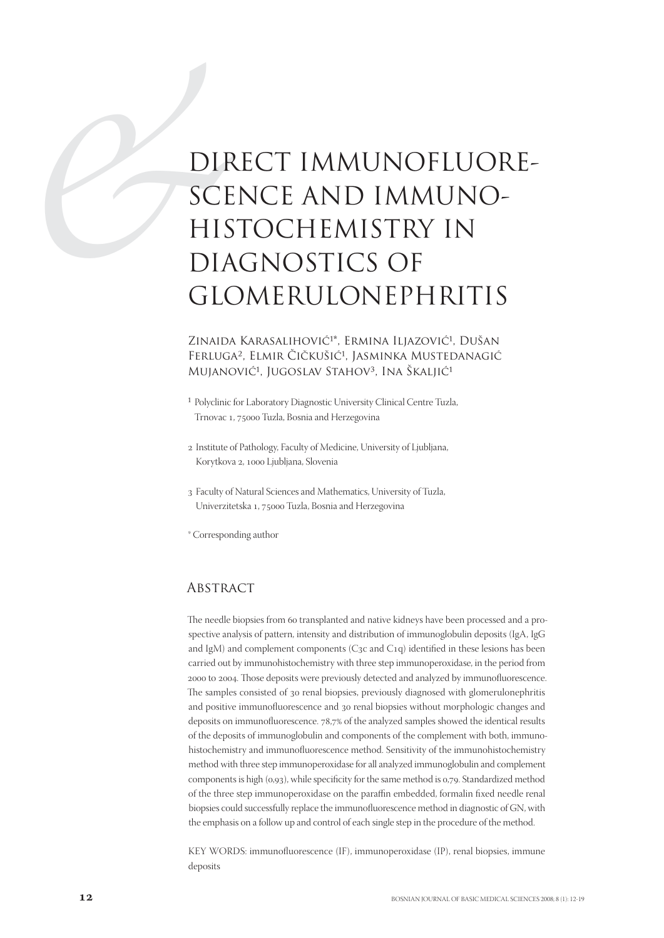# DIR<br>SCE<br>HIS<br>DIA<br>GLC DIRECT IMMUNOFLUORE-SCENCE AND IMMUNO-HISTOCHEMISTRY IN DIAGNOSTICS OF GLOMERULONEPHRITIS

Zinaida Karasalihović<sup>1\*</sup>, Ermina Iljazović<sup>1</sup>, Dušan Ferluga<sup>2</sup>, Elmir Čičkušić<sup>1</sup>, Jasminka Mustedanagić Mujanović<sup>1</sup>, Jugoslav Stahov<sup>3</sup>, Ina Škaljić<sup>1</sup>

- <sup>1</sup> Polyclinic for Laboratory Diagnostic University Clinical Centre Tuzla, Trnovac 1, 75000 Tuzla, Bosnia and Herzegovina
- 2 Institute of Pathology, Faculty of Medicine, University of Ljubljana, Korytkova 2, 1000 Ljubljana, Slovenia
- Faculty of Natural Sciences and Mathematics, University of Tuzla, Univerzitetska 1, 75000 Tuzla, Bosnia and Herzegovina

\* Corresponding author

# **ABSTRACT**

The needle biopsies from 60 transplanted and native kidneys have been processed and a prospective analysis of pattern, intensity and distribution of immunoglobulin deposits (IgA, IgG and IgM) and complement components (C3c and C1q) identified in these lesions has been carried out by immunohistochemistry with three step immunoperoxidase, in the period from 2000 to 2004. Those deposits were previously detected and analyzed by immunofluorescence. The samples consisted of 30 renal biopsies, previously diagnosed with glomerulonephritis and positive immunofluorescence and 30 renal biopsies without morphologic changes and deposits on immunofluorescence. 78,7% of the analyzed samples showed the identical results of the deposits of immunoglobulin and components of the complement with both, immunohistochemistry and immunofluorescence method. Sensitivity of the immunohistochemistry method with three step immunoperoxidase for all analyzed immunoglobulin and complement components is high  $(0,93)$ , while specificity for the same method is  $0.79$ . Standardized method of the three step immunoperoxidase on the paraffin embedded, formalin fixed needle renal biopsies could successfully replace the immunofluorescence method in diagnostic of GN, with the emphasis on a follow up and control of each single step in the procedure of the method.

KEY WORDS: immunofluorescence (IF), immunoperoxidase (IP), renal biopsies, immune deposits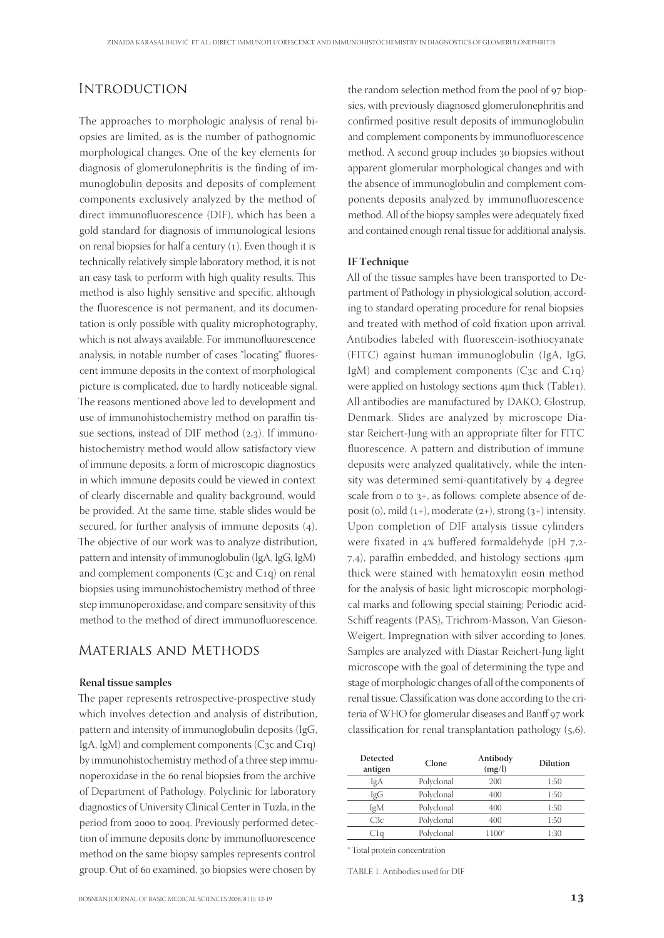# **INTRODUCTION**

The approaches to morphologic analysis of renal biopsies are limited, as is the number of pathognomic morphological changes. One of the key elements for diagnosis of glomerulonephritis is the finding of immunoglobulin deposits and deposits of complement components exclusively analyzed by the method of direct immunofluorescence (DIF), which has been a gold standard for diagnosis of immunological lesions on renal biopsies for half a century  $(1)$ . Even though it is technically relatively simple laboratory method, it is not an easy task to perform with high quality results. This method is also highly sensitive and specific, although the fluorescence is not permanent, and its documentation is only possible with quality microphotography, which is not always available. For immunofluorescence analysis, in notable number of cases "locating" fluorescent immune deposits in the context of morphological picture is complicated, due to hardly noticeable signal. The reasons mentioned above led to development and use of immunohistochemistry method on paraffin tissue sections, instead of DIF method  $(2,3)$ . If immunohistochemistry method would allow satisfactory view of immune deposits, a form of microscopic diagnostics in which immune deposits could be viewed in context of clearly discernable and quality background, would be provided. At the same time, stable slides would be secured, for further analysis of immune deposits  $(4)$ . The objective of our work was to analyze distribution, pattern and intensity of immunoglobulin (IgA, IgG, IgM) and complement components ( $C_3c$  and  $C_1q$ ) on renal biopsies using immunohistochemistry method of three step immunoperoxidase, and compare sensitivity of this method to the method of direct immunofluorescence.

# Materials and Methods

## **Renal tissue samples**

The paper represents retrospective-prospective study which involves detection and analysis of distribution, pattern and intensity of immunoglobulin deposits (IgG, IgA, IgM) and complement components  $(C_3c$  and  $C_1q$ by immunohistochemistry method of a three step immunoperoxidase in the 60 renal biopsies from the archive of Department of Pathology, Polyclinic for laboratory diagnostics of University Clinical Center in Tuzla, in the period from 2000 to 2004. Previously performed detection of immune deposits done by immunofluorescence method on the same biopsy samples represents control group. Out of 60 examined, 30 biopsies were chosen by

the random selection method from the pool of 97 biopsies, with previously diagnosed glomerulonephritis and confirmed positive result deposits of immunoglobulin and complement components by immunofluorescence method. A second group includes 30 biopsies without apparent glomerular morphological changes and with the absence of immunoglobulin and complement components deposits analyzed by immunofluorescence method. All of the biopsy samples were adequately fixed and contained enough renal tissue for additional analysis.

## **IF Technique**

All of the tissue samples have been transported to Department of Pathology in physiological solution, according to standard operating procedure for renal biopsies and treated with method of cold fixation upon arrival. Antibodies labeled with fluorescein-isothiocyanate (FITC) against human immunoglobulin (IgA, IgG, IgM) and complement components ( $C_3c$  and  $C_1q$ ) were applied on histology sections 4μm thick (Table1). All antibodies are manufactured by DAKO, Glostrup, Denmark. Slides are analyzed by microscope Diastar Reichert-Jung with an appropriate filter for FITC fluorescence. A pattern and distribution of immune deposits were analyzed qualitatively, while the intensity was determined semi-quantitatively by 4 degree scale from  $\sigma$  to  $3+$ , as follows: complete absence of deposit (o), mild  $(1+)$ , moderate  $(2+)$ , strong  $(3+)$  intensity. Upon completion of DIF analysis tissue cylinders were fixated in  $4%$  buffered formaldehyde (pH  $7,2-$ ,), paraffin embedded, and histology sections μm thick were stained with hematoxylin eosin method for the analysis of basic light microscopic morphological marks and following special staining; Periodic acid-Schiff reagents (PAS), Trichrom-Masson, Van Gieson-Weigert, Impregnation with silver according to Jones. Samples are analyzed with Diastar Reichert-Jung light microscope with the goal of determining the type and stage of morphologic changes of all of the components of renal tissue. Classification was done according to the criteria of WHO for glomerular diseases and Banff 97 work classification for renal transplantation pathology  $(5,6)$ .

| Detected<br>antigen | Clone      | Antibody<br>(mg/l) | <b>Dilution</b> |  |
|---------------------|------------|--------------------|-----------------|--|
| IgA                 | Polyclonal | 200                | 1:50            |  |
| IgG                 | Polyclonal | 400                | 1:50            |  |
| IgM                 | Polyclonal | 400                | 1:50            |  |
| C3c                 | Polyclonal | 400                | 1:50            |  |
| . Ta                | Polyclonal | 1100*              | 1:30            |  |

\* Total protein concentration

TABLE 1. Antibodies used for DIF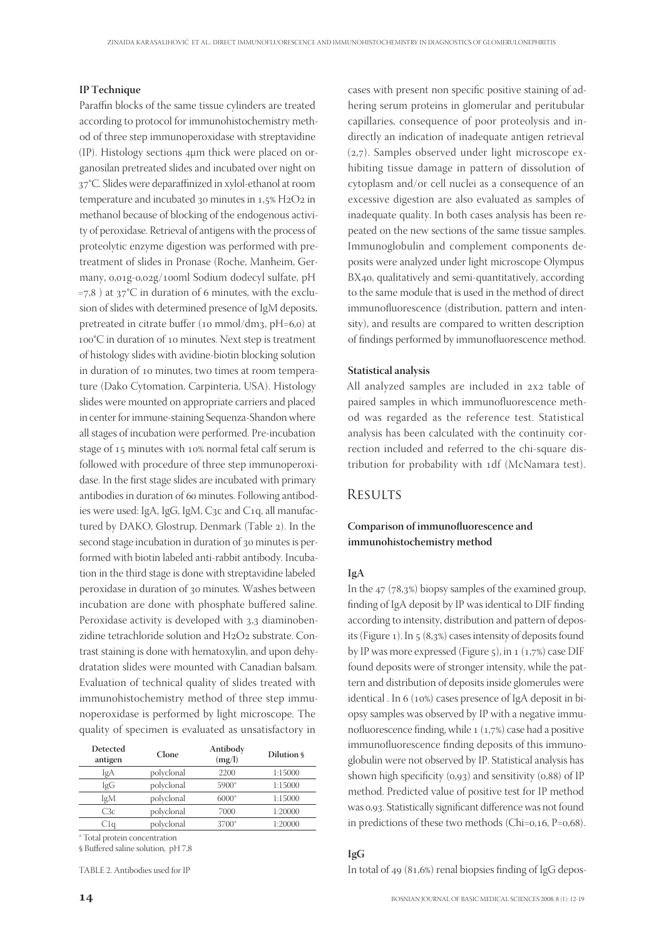## **IP Technique**

Paraffin blocks of the same tissue cylinders are treated according to protocol for immunohistochemistry method of three step immunoperoxidase with streptavidine (IP). Histology sections μm thick were placed on organosilan pretreated slides and incubated over night on 37°C. Slides were deparaffinized in xylol-ethanol at room temperature and incubated 30 minutes in  $1.5\%$  H2O2 in methanol because of blocking of the endogenous activity of peroxidase. Retrieval of antigens with the process of proteolytic enzyme digestion was performed with pretreatment of slides in Pronase (Roche, Manheim, Germany, 0,01g-0,02g/100ml Sodium dodecyl sulfate, pH =7,8) at  $37^{\circ}$ C in duration of 6 minutes, with the exclusion of slides with determined presence of IgM deposits, pretreated in citrate buffer (10 mmol/dm3,  $pH=6,0$ ) at 100°C in duration of 10 minutes. Next step is treatment of histology slides with avidine-biotin blocking solution in duration of 10 minutes, two times at room temperature (Dako Cytomation, Carpinteria, USA). Histology slides were mounted on appropriate carriers and placed in center for immune-staining Sequenza-Shandon where all stages of incubation were performed. Pre-incubation stage of 15 minutes with 10% normal fetal calf serum is followed with procedure of three step immunoperoxidase. In the first stage slides are incubated with primary antibodies in duration of 60 minutes. Following antibodies were used: IgA, IgG, IgM, C3c and C1q, all manufactured by DAKO, Glostrup, Denmark (Table 2). In the second stage incubation in duration of 30 minutes is performed with biotin labeled anti-rabbit antibody. Incubation in the third stage is done with streptavidine labeled peroxidase in duration of 30 minutes. Washes between incubation are done with phosphate buffered saline. Peroxidase activity is developed with 3,3 diaminobenzidine tetrachloride solution and H2O2 substrate. Contrast staining is done with hematoxylin, and upon dehydratation slides were mounted with Canadian balsam. Evaluation of technical quality of slides treated with immunohistochemistry method of three step immunoperoxidase is performed by light microscope. The quality of specimen is evaluated as unsatisfactory in

| Detected<br>antigen | Clone      | Antibody<br>(mg/l) | Dilution § |  |
|---------------------|------------|--------------------|------------|--|
| IgA                 | polyclonal | 2200               | 1:15000    |  |
| IgG                 | polyclonal | 5900*              | 1:15000    |  |
| IgM                 | polyclonal | $6000*$            | 1:15000    |  |
| C3c                 | polyclonal | 7000               | 1:20000    |  |
| Cla                 | polyclonal | 3700*              | 1:20000    |  |
|                     |            |                    |            |  |

\* Total protein concentration

§ Buffered saline solution, pH 7,8

TABLE 2. Antibodies used for IP

cases with present non specific positive staining of adhering serum proteins in glomerular and peritubular capillaries, consequence of poor proteolysis and indirectly an indication of inadequate antigen retrieval  $(2,7)$ . Samples observed under light microscope exhibiting tissue damage in pattern of dissolution of cytoplasm and/or cell nuclei as a consequence of an excessive digestion are also evaluated as samples of inadequate quality. In both cases analysis has been repeated on the new sections of the same tissue samples. Immunoglobulin and complement components deposits were analyzed under light microscope Olympus BX40, qualitatively and semi-quantitatively, according to the same module that is used in the method of direct immunofluorescence (distribution, pattern and intensity), and results are compared to written description of findings performed by immunofluorescence method.

## **Statistical analysis**

All analyzed samples are included in 2x2 table of paired samples in which immunofluorescence method was regarded as the reference test. Statistical analysis has been calculated with the continuity correction included and referred to the chi-square distribution for probability with 1df (McNamara test).

# **RESULTS**

# Comparison of immunofluorescence and **immunohistochemistry method**

#### **IgA**

In the  $47$  (78,3%) biopsy samples of the examined group, finding of IgA deposit by IP was identical to DIF finding according to intensity, distribution and pattern of deposits (Figure 1). In  $5(8,3\%)$  cases intensity of deposits found by IP was more expressed (Figure  $5$ ), in  $1$  ( $1,7%$ ) case DIF found deposits were of stronger intensity, while the pattern and distribution of deposits inside glomerules were identical . In 6 (10%) cases presence of IgA deposit in biopsy samples was observed by IP with a negative immunofluorescence finding, while  $1 (1,7%)$  case had a positive immunofluorescence finding deposits of this immunoglobulin were not observed by IP. Statistical analysis has shown high specificity  $(0,93)$  and sensitivity  $(0,88)$  of IP method. Predicted value of positive test for IP method was 0,93. Statistically significant difference was not found in predictions of these two methods (Chi= $0,16, P=0,68$ ).

## **IgG**

In total of  $49$  ( $81,6\%$ ) renal biopsies finding of IgG depos-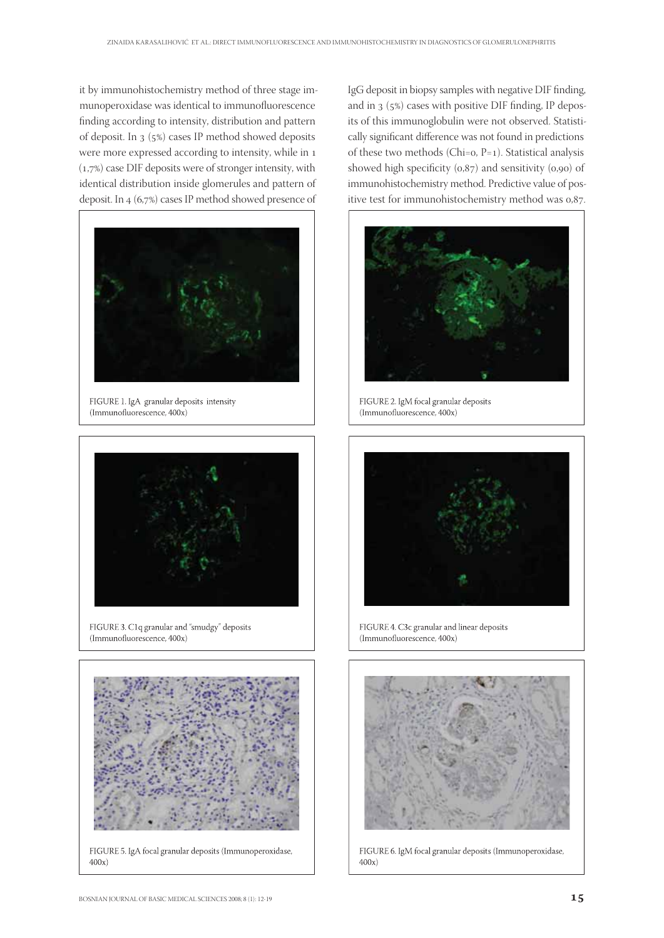it by immunohistochemistry method of three stage immunoperoxidase was identical to immunofluorescence finding according to intensity, distribution and pattern of deposit. In  $3(5\%)$  cases IP method showed deposits were more expressed according to intensity, while in  $(1,7\%)$  case DIF deposits were of stronger intensity, with identical distribution inside glomerules and pattern of deposit. In  $4(6,7%)$  cases IP method showed presence of



FIGURE 1. IgA granular deposits intensity (Immunofluorescence, 400x)



FIGURE 3. C1q granular and "smudgy" deposits (Immunofluorescence, 400x)



FIGURE 5. IgA focal granular deposits (Immunoperoxidase,  $400x$ 

IgG deposit in biopsy samples with negative DIF finding, and in  $3(5\%)$  cases with positive DIF finding, IP deposits of this immunoglobulin were not observed. Statistically significant difference was not found in predictions of these two methods (Chi= $o, P=1$ ). Statistical analysis showed high specificity  $(0,87)$  and sensitivity  $(0,90)$  of immunohistochemistry method. Predictive value of positive test for immunohistochemistry method was 0,87.



FIGURE 2. IgM focal granular deposits (Immunofluorescence, 400x)



FIGURE 4. C3c granular and linear deposits (Immunofluorescence, 400x)



FIGURE 6. IgM focal granular deposits (Immunoperoxidase,  $400x$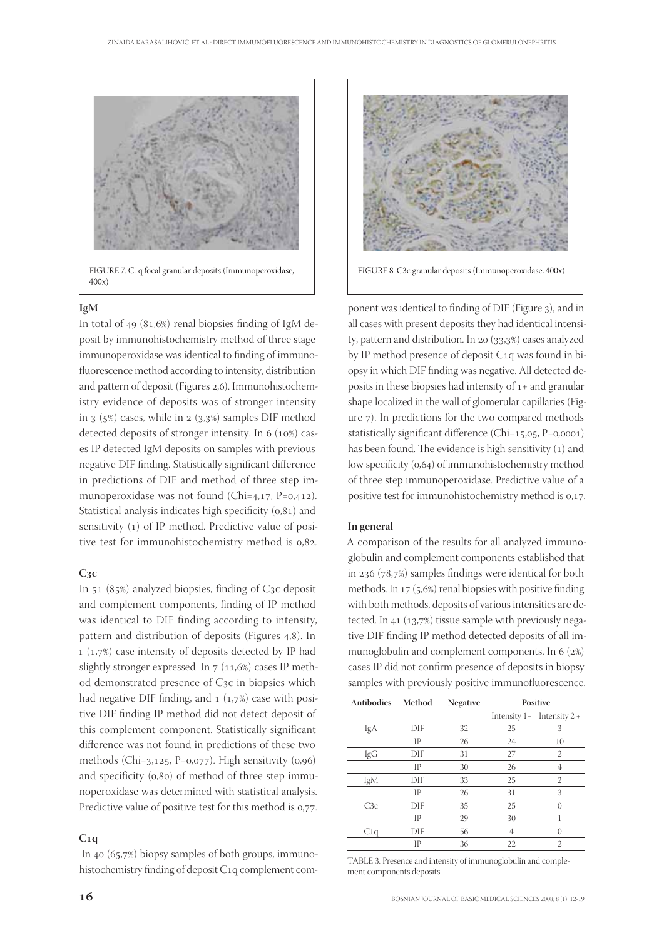

FIGURE 7. C1q focal granular deposits (Immunoperoxidase,  $400x$ 

## **IgM**

In total of  $49$  ( $81,6\%$ ) renal biopsies finding of IgM deposit by immunohistochemistry method of three stage immunoperoxidase was identical to finding of immunofluorescence method according to intensity, distribution and pattern of deposit (Figures 2,6). Immunohistochemistry evidence of deposits was of stronger intensity in  $(3, 6)$  cases, while in  $(3, 3)$  samples DIF method detected deposits of stronger intensity. In  $6 \text{ (10\%)}$  cases IP detected IgM deposits on samples with previous negative DIF finding. Statistically significant difference in predictions of DIF and method of three step immunoperoxidase was not found (Chi= $4,17$ , P=0,412). Statistical analysis indicates high specificity  $(0,81)$  and sensitivity (1) of IP method. Predictive value of positive test for immunohistochemistry method is  $0.82$ .

## $C_3c$

In  $51$  (85%) analyzed biopsies, finding of C<sub>3</sub>c deposit and complement components, finding of IP method was identical to DIF finding according to intensity, pattern and distribution of deposits (Figures 4,8). In  $(1,7\%)$  case intensity of deposits detected by IP had slightly stronger expressed. In  $7$  (11,6%) cases IP method demonstrated presence of C3c in biopsies which had negative DIF finding, and  $1$  (1,7%) case with positive DIF finding IP method did not detect deposit of this complement component. Statistically significant difference was not found in predictions of these two methods (Chi= $3,125$ , P=0,077). High sensitivity (0,96) and specificity  $(0,80)$  of method of three step immunoperoxidase was determined with statistical analysis. Predictive value of positive test for this method is  $0.77$ .

## $C<sub>1</sub>q$

In  $40 (65,7%)$  biopsy samples of both groups, immunohistochemistry finding of deposit C1q complement com-



FIGURE 8. C3c granular deposits (Immunoperoxidase, 400x)

ponent was identical to finding of DIF (Figure 3), and in all cases with present deposits they had identical intensity, pattern and distribution. In 20  $(33,3%)$  cases analyzed by IP method presence of deposit C<sub>1</sub>q was found in biopsy in which DIF finding was negative. All detected deposits in these biopsies had intensity of  $1+$  and granular shape localized in the wall of glomerular capillaries (Figure 7). In predictions for the two compared methods statistically significant difference (Chi= $15,05$ , P= $0,0001$ ) has been found. The evidence is high sensitivity  $(1)$  and low specificity (0,64) of immunohistochemistry method of three step immunoperoxidase. Predictive value of a positive test for immunohistochemistry method is 0,17.

#### **In general**

A comparison of the results for all analyzed immunoglobulin and complement components established that in  $236$  (78,7%) samples findings were identical for both methods. In  $17$  (5,6%) renal biopsies with positive finding with both methods, deposits of various intensities are detected. In  $41$  (13,7%) tissue sample with previously negative DIF finding IP method detected deposits of all immunoglobulin and complement components. In  $6(2%)$ cases IP did not confirm presence of deposits in biopsy samples with previously positive immunofluorescence.

| <b>Antibodies</b> | Method | <b>Negative</b> | Positive       |                 |
|-------------------|--------|-----------------|----------------|-----------------|
|                   |        |                 | Intensity $1+$ | Intensity $2 +$ |
| IgA               | DIF    | 32              | 25             | 3               |
|                   | IP     | 26              | 24             | 10              |
| IgG               | DIF    | 31              | 27             | 2               |
|                   | IP     | 30              | 26             | 4               |
| IgM               | DIF    | 33              | 25             | 2               |
|                   | IP     | 26              | 31             | 3               |
| C3c               | DIF    | 35              | 25             | $\left($        |
|                   | IP     | 29              | 30             |                 |
| C1q               | DIF    | 56              | 4              | $\left($        |
|                   | IP     | 36              | 22             | $\overline{2}$  |

TABLE 3. Presence and intensity of immunoglobulin and complement components deposits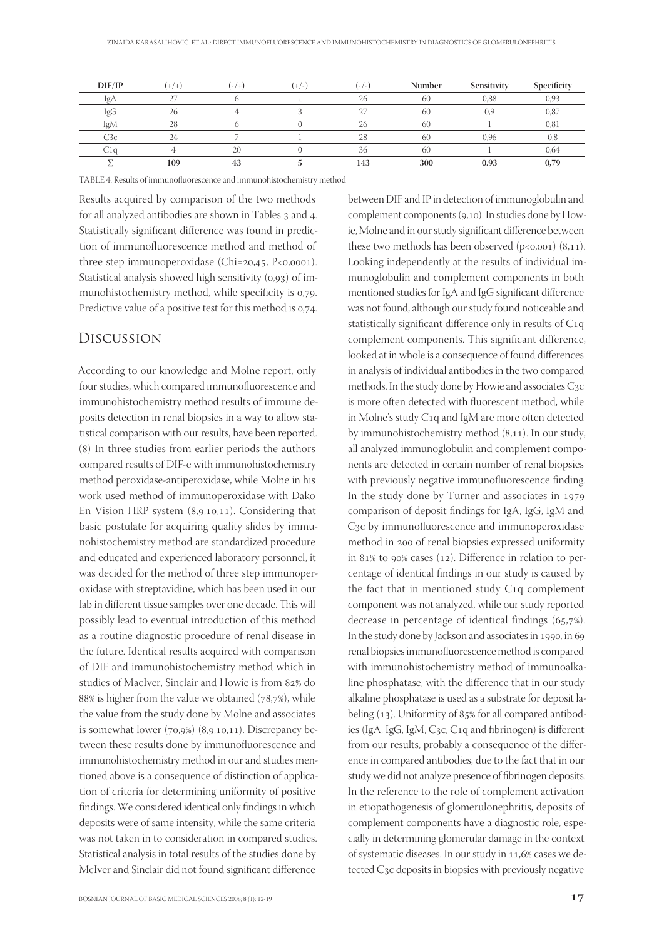| DIF/IP | $+/+)$ | $(-/ +)$ | $(+/-)$ | $(-/-)$ | Number | Sensitivity | Specificity |
|--------|--------|----------|---------|---------|--------|-------------|-------------|
| IgA    | $\sim$ |          |         | 26      | 60     | 0.88        | 0,93        |
| IgG    | 26     |          |         |         | 60     | 0.9         | 0,87        |
| IgM    | 28     |          |         | 26      | 60     |             | 0,81        |
| C3c    | 24     |          |         | 28      | 60     | 0.96        | 0,8         |
| CΙσ    |        | 20       |         | 36      | 60     |             | 0,64        |
|        | 109    | 43       |         | 143     | 300    | 0.93        | 0,79        |

TABLE 4. Results of immunofluorescence and immunohistochemistry method

Results acquired by comparison of the two methods for all analyzed antibodies are shown in Tables 3 and 4. Statistically significant difference was found in prediction of immunofluorescence method and method of three step immunoperoxidase (Chi= $20,45, P<0,0001$ ). Statistical analysis showed high sensitivity  $(0.93)$  of immunohistochemistry method, while specificity is 0,79. Predictive value of a positive test for this method is 0.74.

# Discussion

According to our knowledge and Molne report, only four studies, which compared immunofluorescence and immunohistochemistry method results of immune deposits detection in renal biopsies in a way to allow statistical comparison with our results, have been reported. (8) In three studies from earlier periods the authors compared results of DIF-e with immunohistochemistry method peroxidase-antiperoxidase, while Molne in his work used method of immunoperoxidase with Dako En Vision HRP system  $(8,9,10,11)$ . Considering that basic postulate for acquiring quality slides by immunohistochemistry method are standardized procedure and educated and experienced laboratory personnel, it was decided for the method of three step immunoperoxidase with streptavidine, which has been used in our lab in different tissue samples over one decade. This will possibly lead to eventual introduction of this method as a routine diagnostic procedure of renal disease in the future. Identical results acquired with comparison of DIF and immunohistochemistry method which in studies of MacIver, Sinclair and Howie is from 82% do  $88\%$  is higher from the value we obtained (78,7%), while the value from the study done by Molne and associates is somewhat lower  $(70,9\%)$   $(8,9,10,11)$ . Discrepancy between these results done by immunofluorescence and immunohistochemistry method in our and studies mentioned above is a consequence of distinction of application of criteria for determining uniformity of positive findings. We considered identical only findings in which deposits were of same intensity, while the same criteria was not taken in to consideration in compared studies. Statistical analysis in total results of the studies done by McIver and Sinclair did not found significant difference

BOSNIAN JOURNAL OF BASIC MEDICAL SCIENCES 2008; 8 (1): 12-19  $\qquad \qquad \qquad 17$ 

between DIF and IP in detection of immunoglobulin and complement components (9,10). In studies done by Howie, Molne and in our study significant difference between these two methods has been observed  $(p<0,001)$   $(8,11)$ . Looking independently at the results of individual immunoglobulin and complement components in both mentioned studies for IgA and IgG significant difference was not found, although our study found noticeable and statistically significant difference only in results of  $C_{1q}$ complement components. This significant difference, looked at in whole is a consequence of found differences in analysis of individual antibodies in the two compared methods. In the study done by Howie and associates  $C_3c$ is more often detected with fluorescent method, while in Molne's study C1q and IgM are more often detected by immunohistochemistry method  $(8,11)$ . In our study, all analyzed immunoglobulin and complement components are detected in certain number of renal biopsies with previously negative immunofluorescence finding. In the study done by Turner and associates in comparison of deposit findings for IgA, IgG, IgM and C<sub>3</sub>c by immunofluorescence and immunoperoxidase method in 200 of renal biopsies expressed uniformity in 81% to 90% cases (12). Difference in relation to percentage of identical findings in our study is caused by the fact that in mentioned study  $C_1q$  complement component was not analyzed, while our study reported decrease in percentage of identical findings  $(65,7\%)$ . In the study done by Jackson and associates in 1990, in 69 renal biopsies immunofluorescence method is compared with immunohistochemistry method of immunoalkaline phosphatase, with the difference that in our study alkaline phosphatase is used as a substrate for deposit labeling  $(13)$ . Uniformity of 85% for all compared antibodies (IgA, IgG, IgM, C<sub>3</sub>c, C<sub>1</sub>q and fibrinogen) is different from our results, probably a consequence of the difference in compared antibodies, due to the fact that in our study we did not analyze presence of fibrinogen deposits. In the reference to the role of complement activation in etiopathogenesis of glomerulonephritis, deposits of complement components have a diagnostic role, especially in determining glomerular damage in the context of systematic diseases. In our study in 11,6% cases we detected C<sub>3</sub>c deposits in biopsies with previously negative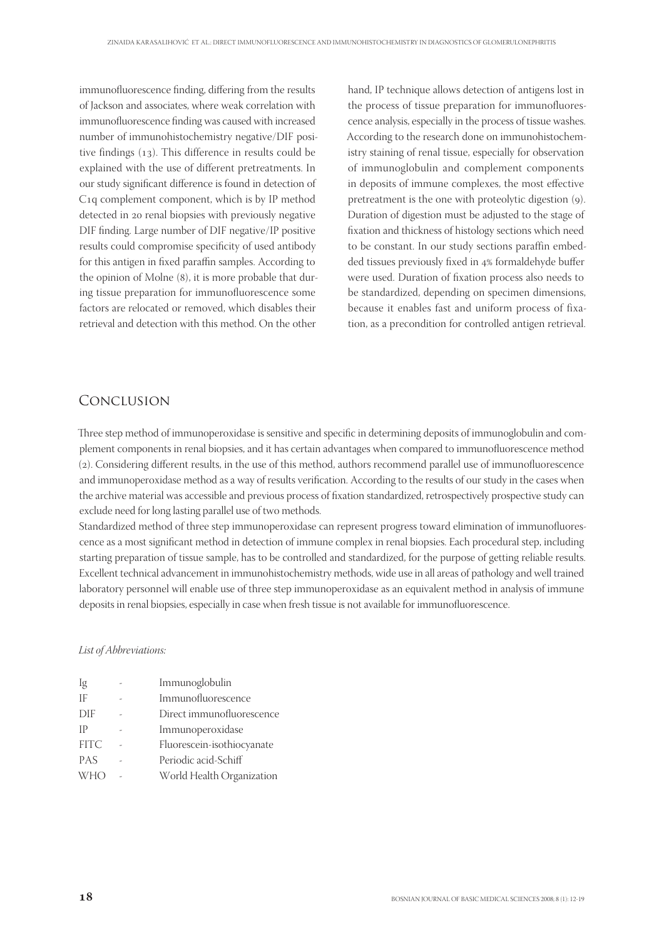immunofluorescence finding, differing from the results of Jackson and associates, where weak correlation with immunofluorescence finding was caused with increased number of immunohistochemistry negative/DIF positive findings  $(13)$ . This difference in results could be explained with the use of different pretreatments. In our study significant difference is found in detection of C<sub>1</sub>q complement component, which is by IP method detected in 20 renal biopsies with previously negative DIF finding. Large number of DIF negative/IP positive results could compromise specificity of used antibody for this antigen in fixed paraffin samples. According to the opinion of Molne  $(8)$ , it is more probable that during tissue preparation for immunofluorescence some factors are relocated or removed, which disables their retrieval and detection with this method. On the other hand, IP technique allows detection of antigens lost in the process of tissue preparation for immunofluorescence analysis, especially in the process of tissue washes. According to the research done on immunohistochemistry staining of renal tissue, especially for observation of immunoglobulin and complement components in deposits of immune complexes, the most effective pretreatment is the one with proteolytic digestion (9). Duration of digestion must be adjusted to the stage of fixation and thickness of histology sections which need to be constant. In our study sections paraffin embedded tissues previously fixed in 4% formaldehyde buffer were used. Duration of fixation process also needs to be standardized, depending on specimen dimensions, because it enables fast and uniform process of fixation, as a precondition for controlled antigen retrieval.

# CONCLUSION

Three step method of immunoperoxidase is sensitive and specific in determining deposits of immunoglobulin and complement components in renal biopsies, and it has certain advantages when compared to immunofluorescence method (2). Considering different results, in the use of this method, authors recommend parallel use of immunofluorescence and immunoperoxidase method as a way of results verification. According to the results of our study in the cases when the archive material was accessible and previous process of fixation standardized, retrospectively prospective study can exclude need for long lasting parallel use of two methods.

Standardized method of three step immunoperoxidase can represent progress toward elimination of immunofluorescence as a most significant method in detection of immune complex in renal biopsies. Each procedural step, including starting preparation of tissue sample, has to be controlled and standardized, for the purpose of getting reliable results. Excellent technical advancement in immunohistochemistry methods, wide use in all areas of pathology and well trained laboratory personnel will enable use of three step immunoperoxidase as an equivalent method in analysis of immune deposits in renal biopsies, especially in case when fresh tissue is not available for immunofluorescence.

## List of Abbreviations:

| Ig          | Immunoglobulin             |
|-------------|----------------------------|
| IF          | Immunofluorescence         |
| DIF         | Direct immunofluorescence  |
| <b>IP</b>   | Immunoperoxidase           |
| <b>FITC</b> | Fluorescein-isothiocyanate |
| <b>PAS</b>  | Periodic acid-Schiff       |
| <b>WHO</b>  | World Health Organization  |